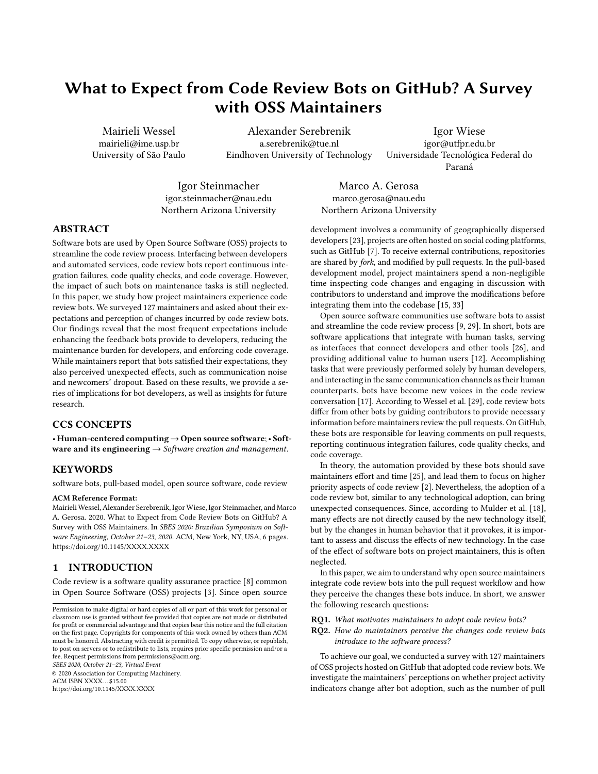# What to Expect from Code Review Bots on GitHub? A Survey with OSS Maintainers

Mairieli Wessel mairieli@ime.usp.br University of São Paulo

Alexander Serebrenik a.serebrenik@tue.nl Eindhoven University of Technology

Igor Wiese igor@utfpr.edu.br Universidade Tecnológica Federal do Paraná

Igor Steinmacher igor.steinmacher@nau.edu Northern Arizona University

Marco A. Gerosa marco.gerosa@nau.edu Northern Arizona University

#### ABSTRACT

Software bots are used by Open Source Software (OSS) projects to streamline the code review process. Interfacing between developers and automated services, code review bots report continuous integration failures, code quality checks, and code coverage. However, the impact of such bots on maintenance tasks is still neglected. In this paper, we study how project maintainers experience code review bots. We surveyed 127 maintainers and asked about their expectations and perception of changes incurred by code review bots. Our findings reveal that the most frequent expectations include enhancing the feedback bots provide to developers, reducing the maintenance burden for developers, and enforcing code coverage. While maintainers report that bots satisfied their expectations, they also perceived unexpected effects, such as communication noise and newcomers' dropout. Based on these results, we provide a series of implications for bot developers, as well as insights for future research.

## CCS CONCEPTS

• Human-centered computing→Open source software;• Software and its engineering  $\rightarrow$  Software creation and management.

#### **KEYWORDS**

software bots, pull-based model, open source software, code review

#### ACM Reference Format:

Mairieli Wessel, Alexander Serebrenik, Igor Wiese, Igor Steinmacher, and Marco A. Gerosa. 2020. What to Expect from Code Review Bots on GitHub? A Survey with OSS Maintainers. In SBES 2020: Brazilian Symposium on Soft-ware Engineering, October 21-23, 2020. ACM, New York, NY, USA, [6](#page-5-0) pages. <https://doi.org/10.1145/XXXX.XXXX>

### 1 INTRODUCTION

Code review is a software quality assurance practice [\[8\]](#page-5-1) common in Open Source Software (OSS) projects [\[3\]](#page-5-2). Since open source

SBES 2020, October 21–23, Virtual Event

© 2020 Association for Computing Machinery.

ACM ISBN XXXX. . . \$15.00

<https://doi.org/10.1145/XXXX.XXXX>

development involves a community of geographically dispersed developers [\[23\]](#page-5-3), projects are often hosted on social coding platforms, such as GitHub [\[7\]](#page-5-4). To receive external contributions, repositories are shared by fork, and modified by pull requests. In the pull-based development model, project maintainers spend a non-negligible time inspecting code changes and engaging in discussion with contributors to understand and improve the modifications before integrating them into the codebase [\[15,](#page-5-5) [33\]](#page-5-6)

Open source software communities use software bots to assist and streamline the code review process [\[9,](#page-5-7) [29\]](#page-5-8). In short, bots are software applications that integrate with human tasks, serving as interfaces that connect developers and other tools [\[26\]](#page-5-9), and providing additional value to human users [\[12\]](#page-5-10). Accomplishing tasks that were previously performed solely by human developers, and interacting in the same communication channels as their human counterparts, bots have become new voices in the code review conversation [\[17\]](#page-5-11). According to Wessel et al. [\[29\]](#page-5-8), code review bots differ from other bots by guiding contributors to provide necessary information before maintainers review the pull requests. On GitHub, these bots are responsible for leaving comments on pull requests, reporting continuous integration failures, code quality checks, and code coverage.

In theory, the automation provided by these bots should save maintainers effort and time [\[25\]](#page-5-12), and lead them to focus on higher priority aspects of code review [\[2\]](#page-5-13). Nevertheless, the adoption of a code review bot, similar to any technological adoption, can bring unexpected consequences. Since, according to Mulder et al. [\[18\]](#page-5-14), many effects are not directly caused by the new technology itself, but by the changes in human behavior that it provokes, it is important to assess and discuss the effects of new technology. In the case of the effect of software bots on project maintainers, this is often neglected.

In this paper, we aim to understand why open source maintainers integrate code review bots into the pull request workflow and how they perceive the changes these bots induce. In short, we answer the following research questions:

- RQ1. What motivates maintainers to adopt code review bots?
- RQ2. How do maintainers perceive the changes code review bots introduce to the software process?

To achieve our goal, we conducted a survey with 127 maintainers of OSS projects hosted on GitHub that adopted code review bots. We investigate the maintainers' perceptions on whether project activity indicators change after bot adoption, such as the number of pull

Permission to make digital or hard copies of all or part of this work for personal or classroom use is granted without fee provided that copies are not made or distributed for profit or commercial advantage and that copies bear this notice and the full citation on the first page. Copyrights for components of this work owned by others than ACM must be honored. Abstracting with credit is permitted. To copy otherwise, or republish, to post on servers or to redistribute to lists, requires prior specific permission and/or a fee. Request permissions from permissions@acm.org.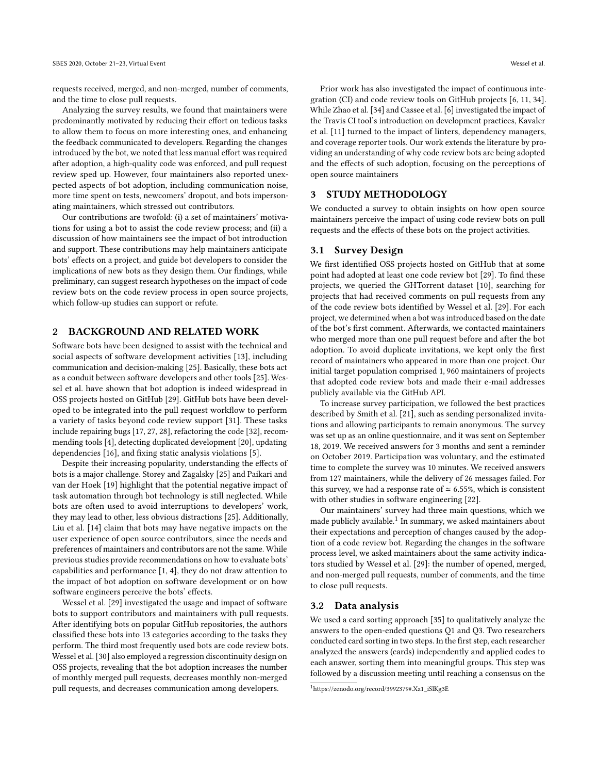requests received, merged, and non-merged, number of comments, and the time to close pull requests.

Analyzing the survey results, we found that maintainers were predominantly motivated by reducing their effort on tedious tasks to allow them to focus on more interesting ones, and enhancing the feedback communicated to developers. Regarding the changes introduced by the bot, we noted that less manual effort was required after adoption, a high-quality code was enforced, and pull request review sped up. However, four maintainers also reported unexpected aspects of bot adoption, including communication noise, more time spent on tests, newcomers' dropout, and bots impersonating maintainers, which stressed out contributors.

Our contributions are twofold: (i) a set of maintainers' motivations for using a bot to assist the code review process; and (ii) a discussion of how maintainers see the impact of bot introduction and support. These contributions may help maintainers anticipate bots' effects on a project, and guide bot developers to consider the implications of new bots as they design them. Our findings, while preliminary, can suggest research hypotheses on the impact of code review bots on the code review process in open source projects, which follow-up studies can support or refute.

## 2 BACKGROUND AND RELATED WORK

Software bots have been designed to assist with the technical and social aspects of software development activities [\[13\]](#page-5-15), including communication and decision-making [\[25\]](#page-5-12). Basically, these bots act as a conduit between software developers and other tools [\[25\]](#page-5-12). Wessel et al. have shown that bot adoption is indeed widespread in OSS projects hosted on GitHub [\[29\]](#page-5-8). GitHub bots have been developed to be integrated into the pull request workflow to perform a variety of tasks beyond code review support [\[31\]](#page-5-16). These tasks include repairing bugs [\[17,](#page-5-11) [27,](#page-5-17) [28\]](#page-5-18), refactoring the code [\[32\]](#page-5-19), recommending tools [\[4\]](#page-5-20), detecting duplicated development [\[20\]](#page-5-21), updating dependencies [\[16\]](#page-5-22), and fixing static analysis violations [\[5\]](#page-5-23).

Despite their increasing popularity, understanding the effects of bots is a major challenge. Storey and Zagalsky [\[25\]](#page-5-12) and Paikari and van der Hoek [\[19\]](#page-5-24) highlight that the potential negative impact of task automation through bot technology is still neglected. While bots are often used to avoid interruptions to developers' work, they may lead to other, less obvious distractions [\[25\]](#page-5-12). Additionally, Liu et al. [\[14\]](#page-5-25) claim that bots may have negative impacts on the user experience of open source contributors, since the needs and preferences of maintainers and contributors are not the same. While previous studies provide recommendations on how to evaluate bots' capabilities and performance [\[1,](#page-5-26) [4\]](#page-5-20), they do not draw attention to the impact of bot adoption on software development or on how software engineers perceive the bots' effects.

Wessel et al. [\[29\]](#page-5-8) investigated the usage and impact of software bots to support contributors and maintainers with pull requests. After identifying bots on popular GitHub repositories, the authors classified these bots into 13 categories according to the tasks they perform. The third most frequently used bots are code review bots. Wessel et al. [\[30\]](#page-5-27) also employed a regression discontinuity design on OSS projects, revealing that the bot adoption increases the number of monthly merged pull requests, decreases monthly non-merged pull requests, and decreases communication among developers.

Prior work has also investigated the impact of continuous integration (CI) and code review tools on GitHub projects [\[6,](#page-5-28) [11,](#page-5-29) [34\]](#page-5-30). While Zhao et al. [\[34\]](#page-5-30) and Cassee et al. [\[6\]](#page-5-28) investigated the impact of the Travis CI tool's introduction on development practices, Kavaler et al. [\[11\]](#page-5-29) turned to the impact of linters, dependency managers, and coverage reporter tools. Our work extends the literature by providing an understanding of why code review bots are being adopted and the effects of such adoption, focusing on the perceptions of open source maintainers

## 3 STUDY METHODOLOGY

We conducted a survey to obtain insights on how open source maintainers perceive the impact of using code review bots on pull requests and the effects of these bots on the project activities.

### 3.1 Survey Design

We first identified OSS projects hosted on GitHub that at some point had adopted at least one code review bot [\[29\]](#page-5-8). To find these projects, we queried the GHTorrent dataset [\[10\]](#page-5-31), searching for projects that had received comments on pull requests from any of the code review bots identified by Wessel et al. [\[29\]](#page-5-8). For each project, we determined when a bot was introduced based on the date of the bot's first comment. Afterwards, we contacted maintainers who merged more than one pull request before and after the bot adoption. To avoid duplicate invitations, we kept only the first record of maintainers who appeared in more than one project. Our initial target population comprised 1, 960 maintainers of projects that adopted code review bots and made their e-mail addresses publicly available via the GitHub API.

To increase survey participation, we followed the best practices described by Smith et al. [\[21\]](#page-5-32), such as sending personalized invitations and allowing participants to remain anonymous. The survey was set up as an online questionnaire, and it was sent on September 18, 2019. We received answers for 3 months and sent a reminder on October 2019. Participation was voluntary, and the estimated time to complete the survey was 10 minutes. We received answers from 127 maintainers, while the delivery of 26 messages failed. For this survey, we had a response rate of  $\simeq$  6.55%, which is consistent with other studies in software engineering [\[22\]](#page-5-33).

Our maintainers' survey had three main questions, which we made publicly available.<sup>[1](#page-1-0)</sup> In summary, we asked maintainers about their expectations and perception of changes caused by the adoption of a code review bot. Regarding the changes in the software process level, we asked maintainers about the same activity indicators studied by Wessel et al. [\[29\]](#page-5-8): the number of opened, merged, and non-merged pull requests, number of comments, and the time to close pull requests.

#### 3.2 Data analysis

We used a card sorting approach [\[35\]](#page-5-34) to qualitatively analyze the answers to the open-ended questions Q1 and Q3. Two researchers conducted card sorting in two steps. In the first step, each researcher analyzed the answers (cards) independently and applied codes to each answer, sorting them into meaningful groups. This step was followed by a discussion meeting until reaching a consensus on the

<span id="page-1-0"></span><sup>1</sup>[https://zenodo.org/record/3992379#.Xz1\\_iSlKg3E](https://zenodo.org/record/3992379#.Xz1_iSlKg3E)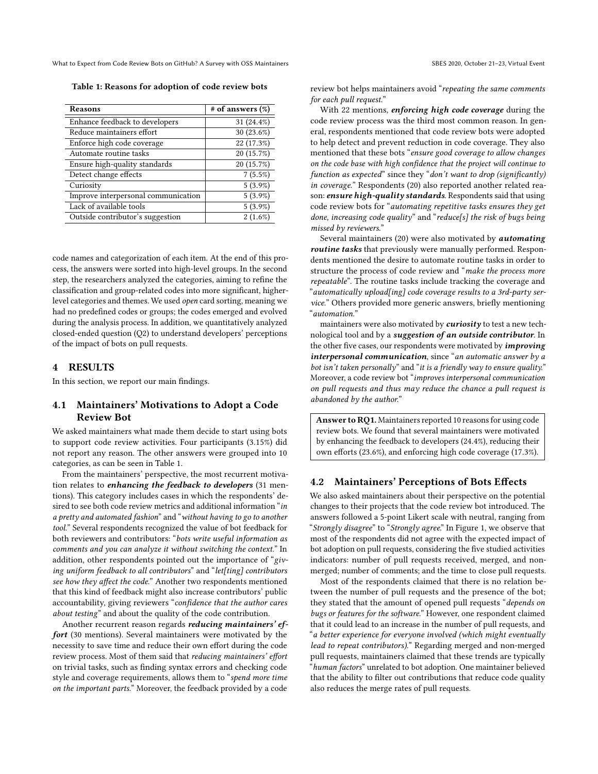<span id="page-2-0"></span>What to Expect from Code Review Bots on GitHub? A Survey with OSS Maintainers SBES 2020, October 21-23, Virtual Event

Table 1: Reasons for adoption of code review bots

| Reasons                             | $#$ of answers $(\%)$ |
|-------------------------------------|-----------------------|
| Enhance feedback to developers      | 31 (24.4%)            |
| Reduce maintainers effort           | $30(23.6\%)$          |
| Enforce high code coverage          | 22 (17.3%)            |
| Automate routine tasks              | 20 (15.7%)            |
| Ensure high-quality standards       | 20 (15.7%)            |
| Detect change effects               | 7(5.5%)               |
| Curiosity                           | $5(3.9\%)$            |
| Improve interpersonal communication | $5(3.9\%)$            |
| Lack of available tools             | $5(3.9\%)$            |
| Outside contributor's suggestion    | $2(1.6\%)$            |

code names and categorization of each item. At the end of this process, the answers were sorted into high-level groups. In the second step, the researchers analyzed the categories, aiming to refine the classification and group-related codes into more significant, higherlevel categories and themes. We used open card sorting, meaning we had no predefined codes or groups; the codes emerged and evolved during the analysis process. In addition, we quantitatively analyzed closed-ended question (Q2) to understand developers' perceptions of the impact of bots on pull requests.

## 4 RESULTS

In this section, we report our main findings.

## 4.1 Maintainers' Motivations to Adopt a Code Review Bot

We asked maintainers what made them decide to start using bots to support code review activities. Four participants (3.15%) did not report any reason. The other answers were grouped into 10 categories, as can be seen in Table [1.](#page-2-0)

From the maintainers' perspective, the most recurrent motivation relates to enhancing the feedback to developers (31 mentions). This category includes cases in which the respondents' desired to see both code review metrics and additional information "in a pretty and automated fashion" and "without having to go to another tool." Several respondents recognized the value of bot feedback for both reviewers and contributors: "bots write useful information as comments and you can analyze it without switching the context." In addition, other respondents pointed out the importance of "giving uniform feedback to all contributors" and "let[ting] contributors see how they affect the code." Another two respondents mentioned that this kind of feedback might also increase contributors' public accountability, giving reviewers "confidence that the author cares about testing" and about the quality of the code contribution.

Another recurrent reason regards reducing maintainers' effort (30 mentions). Several maintainers were motivated by the necessity to save time and reduce their own effort during the code review process. Most of them said that reducing maintainers' effort on trivial tasks, such as finding syntax errors and checking code style and coverage requirements, allows them to "spend more time on the important parts." Moreover, the feedback provided by a code

review bot helps maintainers avoid "repeating the same comments for each pull request."

With 22 mentions, *enforcing high code coverage* during the code review process was the third most common reason. In general, respondents mentioned that code review bots were adopted to help detect and prevent reduction in code coverage. They also mentioned that these bots "ensure good coverage to allow changes on the code base with high confidence that the project will continue to function as expected" since they "don't want to drop (significantly) in coverage." Respondents (20) also reported another related reason: ensure high-quality standards. Respondents said that using code review bots for "automating repetitive tasks ensures they get done, increasing code quality" and "reduce[s] the risk of bugs being missed by reviewers."

Several maintainers (20) were also motivated by automating routine tasks that previously were manually performed. Respondents mentioned the desire to automate routine tasks in order to structure the process of code review and "make the process more repeatable". The routine tasks include tracking the coverage and "automatically upload[ing] code coverage results to a 3rd-party service." Others provided more generic answers, briefly mentioning "automation."

maintainers were also motivated by *curiosity* to test a new technological tool and by a suggestion of an outside contributor. In the other five cases, our respondents were motivated by *improving*  $interpersonal$  communication, since "an automatic answer by a bot isn't taken personally" and "it is a friendly way to ensure quality." Moreover, a code review bot "improves interpersonal communication on pull requests and thus may reduce the chance a pull request is abandoned by the author."

Answer to RQ1. Maintainers reported 10 reasons for using code review bots. We found that several maintainers were motivated by enhancing the feedback to developers (24.4%), reducing their own efforts (23.6%), and enforcing high code coverage (17.3%).

#### 4.2 Maintainers' Perceptions of Bots Effects

We also asked maintainers about their perspective on the potential changes to their projects that the code review bot introduced. The answers followed a 5-point Likert scale with neutral, ranging from "Strongly disagree" to "Strongly agree." In Figure [1,](#page-3-0) we observe that most of the respondents did not agree with the expected impact of bot adoption on pull requests, considering the five studied activities indicators: number of pull requests received, merged, and nonmerged; number of comments; and the time to close pull requests.

Most of the respondents claimed that there is no relation between the number of pull requests and the presence of the bot; they stated that the amount of opened pull requests "depends on bugs or features for the software." However, one respondent claimed that it could lead to an increase in the number of pull requests, and "a better experience for everyone involved (which might eventually lead to repeat contributors)." Regarding merged and non-merged pull requests, maintainers claimed that these trends are typically "human factors" unrelated to bot adoption. One maintainer believed that the ability to filter out contributions that reduce code quality also reduces the merge rates of pull requests.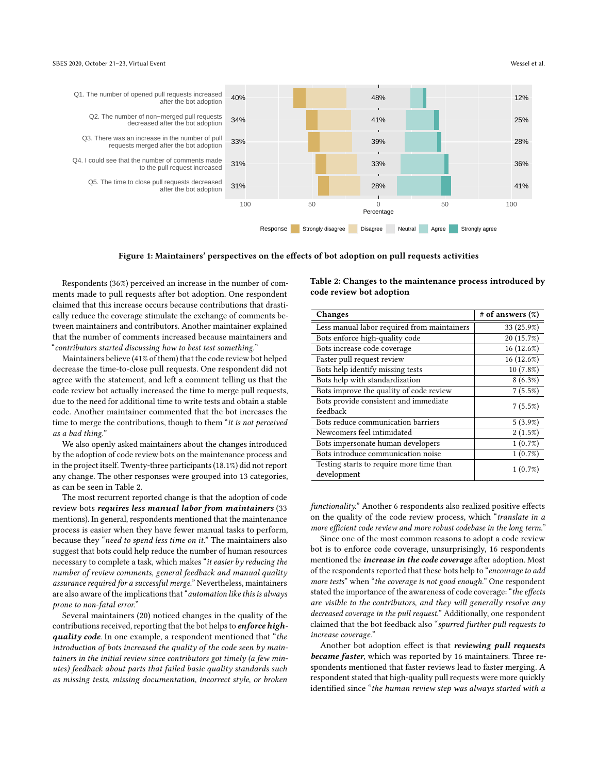<span id="page-3-0"></span>

Figure 1: Maintainers' perspectives on the effects of bot adoption on pull requests activities

Respondents (36%) perceived an increase in the number of comments made to pull requests after bot adoption. One respondent claimed that this increase occurs because contributions that drastically reduce the coverage stimulate the exchange of comments between maintainers and contributors. Another maintainer explained that the number of comments increased because maintainers and "contributors started discussing how to best test something."

Maintainers believe (41% of them) that the code review bot helped decrease the time-to-close pull requests. One respondent did not agree with the statement, and left a comment telling us that the code review bot actually increased the time to merge pull requests, due to the need for additional time to write tests and obtain a stable code. Another maintainer commented that the bot increases the time to merge the contributions, though to them "it is not perceived as a bad thing."

We also openly asked maintainers about the changes introduced by the adoption of code review bots on the maintenance process and in the project itself. Twenty-three participants (18.1%) did not report any change. The other responses were grouped into 13 categories, as can be seen in Table [2.](#page-3-1)

The most recurrent reported change is that the adoption of code review bots requires less manual labor from maintainers (33 mentions). In general, respondents mentioned that the maintenance process is easier when they have fewer manual tasks to perform, because they "need to spend less time on it." The maintainers also suggest that bots could help reduce the number of human resources necessary to complete a task, which makes "it easier by reducing the number of review comments, general feedback and manual quality assurance required for a successful merge." Nevertheless, maintainers are also aware of the implications that "automation like this is always prone to non-fatal error."

Several maintainers (20) noticed changes in the quality of the contributions received, reporting that the bot helps to *enforce* highquality code. In one example, a respondent mentioned that "the introduction of bots increased the quality of the code seen by maintainers in the initial review since contributors got timely (a few minutes) feedback about parts that failed basic quality standards such as missing tests, missing documentation, incorrect style, or broken <span id="page-3-1"></span>Table 2: Changes to the maintenance process introduced by code review bot adoption

| Changes                                                 | $#$ of answers $(\%)$ |
|---------------------------------------------------------|-----------------------|
| Less manual labor required from maintainers             | 33 (25.9%)            |
| Bots enforce high-quality code                          | 20 (15.7%)            |
| Bots increase code coverage                             | 16 (12.6%)            |
| Faster pull request review                              | 16 (12.6%)            |
| Bots help identify missing tests                        | 10 (7.8%)             |
| Bots help with standardization                          | $8(6.3\%)$            |
| Bots improve the quality of code review                 | 7(5.5%)               |
| Bots provide consistent and immediate                   | 7(5.5%)               |
| feedback                                                |                       |
| Bots reduce communication barriers                      | $5(3.9\%)$            |
| Newcomers feel intimidated                              | 2(1.5%)               |
| Bots impersonate human developers                       | $1(0.7\%)$            |
| Bots introduce communication noise                      | $1(0.7\%)$            |
| Testing starts to require more time than<br>development | 1(0.7%)               |

functionality." Another 6 respondents also realized positive effects on the quality of the code review process, which "translate in a more efficient code review and more robust codebase in the long term."

Since one of the most common reasons to adopt a code review bot is to enforce code coverage, unsurprisingly, 16 respondents mentioned the *increase in the code coverage* after adoption. Most of the respondents reported that these bots help to "encourage to add more tests" when "the coverage is not good enough." One respondent stated the importance of the awareness of code coverage: "the effects are visible to the contributors, and they will generally resolve any decreased coverage in the pull request." Additionally, one respondent claimed that the bot feedback also "spurred further pull requests to increase coverage."

Another bot adoption effect is that reviewing pull requests became faster, which was reported by 16 maintainers. Three respondents mentioned that faster reviews lead to faster merging. A respondent stated that high-quality pull requests were more quickly identified since "the human review step was always started with a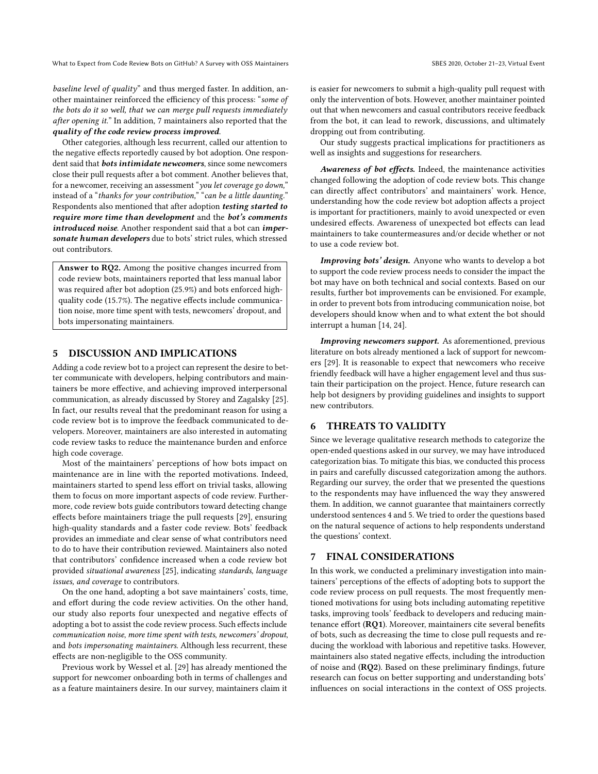What to Expect from Code Review Bots on GitHub? A Survey with OSS Maintainers SBES 2020, October 21-23, Virtual Event

baseline level of quality" and thus merged faster. In addition, another maintainer reinforced the efficiency of this process: "some of the bots do it so well, that we can merge pull requests immediately after opening it." In addition, 7 maintainers also reported that the quality of the code review process improved.

Other categories, although less recurrent, called our attention to the negative effects reportedly caused by bot adoption. One respondent said that **bots intimidate newcomers**, since some newcomers close their pull requests after a bot comment. Another believes that, for a newcomer, receiving an assessment "you let coverage go down," instead of a "thanks for your contribution," "can be a little daunting." Respondents also mentioned that after adoption testing started to require more time than development and the bot's comments introduced noise. Another respondent said that a bot can impersonate human developers due to bots' strict rules, which stressed out contributors.

Answer to RQ2. Among the positive changes incurred from code review bots, maintainers reported that less manual labor was required after bot adoption (25.9%) and bots enforced highquality code (15.7%). The negative effects include communication noise, more time spent with tests, newcomers' dropout, and bots impersonating maintainers.

## 5 DISCUSSION AND IMPLICATIONS

Adding a code review bot to a project can represent the desire to better communicate with developers, helping contributors and maintainers be more effective, and achieving improved interpersonal communication, as already discussed by Storey and Zagalsky [\[25\]](#page-5-12). In fact, our results reveal that the predominant reason for using a code review bot is to improve the feedback communicated to developers. Moreover, maintainers are also interested in automating code review tasks to reduce the maintenance burden and enforce high code coverage.

Most of the maintainers' perceptions of how bots impact on maintenance are in line with the reported motivations. Indeed, maintainers started to spend less effort on trivial tasks, allowing them to focus on more important aspects of code review. Furthermore, code review bots guide contributors toward detecting change effects before maintainers triage the pull requests [\[29\]](#page-5-8), ensuring high-quality standards and a faster code review. Bots' feedback provides an immediate and clear sense of what contributors need to do to have their contribution reviewed. Maintainers also noted that contributors' confidence increased when a code review bot provided situational awareness [\[25\]](#page-5-12), indicating standards, language issues, and coverage to contributors.

On the one hand, adopting a bot save maintainers' costs, time, and effort during the code review activities. On the other hand, our study also reports four unexpected and negative effects of adopting a bot to assist the code review process. Such effects include communication noise, more time spent with tests, newcomers' dropout, and bots impersonating maintainers. Although less recurrent, these effects are non-negligible to the OSS community.

Previous work by Wessel et al. [\[29\]](#page-5-8) has already mentioned the support for newcomer onboarding both in terms of challenges and as a feature maintainers desire. In our survey, maintainers claim it is easier for newcomers to submit a high-quality pull request with only the intervention of bots. However, another maintainer pointed out that when newcomers and casual contributors receive feedback from the bot, it can lead to rework, discussions, and ultimately dropping out from contributing.

Our study suggests practical implications for practitioners as well as insights and suggestions for researchers.

Awareness of bot effects. Indeed, the maintenance activities changed following the adoption of code review bots. This change can directly affect contributors' and maintainers' work. Hence, understanding how the code review bot adoption affects a project is important for practitioners, mainly to avoid unexpected or even undesired effects. Awareness of unexpected bot effects can lead maintainers to take countermeasures and/or decide whether or not to use a code review bot.

Improving bots' design. Anyone who wants to develop a bot to support the code review process needs to consider the impact the bot may have on both technical and social contexts. Based on our results, further bot improvements can be envisioned. For example, in order to prevent bots from introducing communication noise, bot developers should know when and to what extent the bot should interrupt a human [\[14,](#page-5-25) [24\]](#page-5-35).

Improving newcomers support. As aforementioned, previous literature on bots already mentioned a lack of support for newcomers [\[29\]](#page-5-8). It is reasonable to expect that newcomers who receive friendly feedback will have a higher engagement level and thus sustain their participation on the project. Hence, future research can help bot designers by providing guidelines and insights to support new contributors.

### 6 THREATS TO VALIDITY

Since we leverage qualitative research methods to categorize the open-ended questions asked in our survey, we may have introduced categorization bias. To mitigate this bias, we conducted this process in pairs and carefully discussed categorization among the authors. Regarding our survey, the order that we presented the questions to the respondents may have influenced the way they answered them. In addition, we cannot guarantee that maintainers correctly understood sentences 4 and 5. We tried to order the questions based on the natural sequence of actions to help respondents understand the questions' context.

#### 7 FINAL CONSIDERATIONS

In this work, we conducted a preliminary investigation into maintainers' perceptions of the effects of adopting bots to support the code review process on pull requests. The most frequently mentioned motivations for using bots including automating repetitive tasks, improving tools' feedback to developers and reducing maintenance effort (RQ1). Moreover, maintainers cite several benefits of bots, such as decreasing the time to close pull requests and reducing the workload with laborious and repetitive tasks. However, maintainers also stated negative effects, including the introduction of noise and (RQ2). Based on these preliminary findings, future research can focus on better supporting and understanding bots' influences on social interactions in the context of OSS projects.